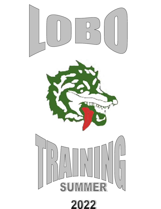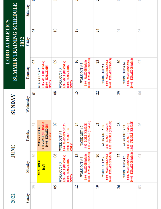|                       | 목<br><b>SUMMER TRAINING SCHED</b><br>2022 | Saturday  |                                                                               |                                                                                                  |                                                                                                          | - 7                                                                                         |                                                                                              |   |
|-----------------------|-------------------------------------------|-----------|-------------------------------------------------------------------------------|--------------------------------------------------------------------------------------------------|----------------------------------------------------------------------------------------------------------|---------------------------------------------------------------------------------------------|----------------------------------------------------------------------------------------------|---|
| <b>LOBO ATHLETICS</b> |                                           | Friday    | ఇ                                                                             | $\overline{10}$                                                                                  | 17                                                                                                       | $\mathcal{Z}$                                                                               | 5                                                                                            | 8 |
|                       |                                           | Thursday  | 8<br>8:00 - MALE (HS ONLY)<br>10:00 - FEMALE (HS<br>WORK OUT #2               | 8<br>8:00 - MALE (HS ONLY)<br>10:00 - FEMALE (HS<br>WORK OUT #5<br><b>ONLYD</b><br><b>ONLY)</b>  | 10:00 - FEMALE (HS&MS)<br>$\overline{5}$<br>8:00 - MALE (HS&MS)<br>WORK OUT #8                           | 10:00 - FEMALE (HS&MS)<br>23<br>8:00 - MALE (HS&MS)<br>WORK OUT #11                         | 10:00 - FEMALE (HS&MS)<br>$30\,$<br>8:00 - MALE (HS&MS)<br>WORK OUT #14                      | S |
|                       | <b><i>SUNDAY</i></b>                      | Wednesday | ៑                                                                             | ိ                                                                                                | 21                                                                                                       | 22                                                                                          | 29                                                                                           | S |
|                       | <b>HNIL</b>                               | Tuesday   | 8:00 - MALE (HS ONLY)<br>$\overline{31}$<br>10:00 - FEMALE (HS<br>WORK OUT #1 | 20<br>8:00 - MALE (HS ONLY)<br>10:00 - FEMALE (HS<br>WORK OUT #4<br><b>ONLY)</b><br><b>ONLY)</b> | $\overline{4}$<br>8:00 - MALE (HS&MS)<br>WORK OUT #7                                                     | 21<br>8:00 - MALE (HS&MS)<br>WORK OUT #10                                                   | 28<br>8:00 - MALE (HS&MS)<br>WORK OUT #13                                                    | S |
|                       |                                           | Monday    | $\approx$<br><b>MEMORIAL</b><br><b>DAY</b>                                    | 8<br>8:00 - MALE (HS ONLY)<br>10:00 - FEMALE (HS<br>WORK OUT #3<br><b>ONLY)</b>                  | 10:00 - FEMALE (HS&MS)   10:00 - FEMALE (HS&MS)<br>$\overline{13}$<br>8:00 - MALE (HS&MS)<br>WORK OUT #6 | 10:00 - FEMALE (HS&MS)   10:00 - FEMALE (HS&MS)<br>20<br>8:00 - MALE (HS&MS)<br>WORK OUT #9 | 10:00 - FEMALE (HS&MS)   10:00 - FEMALE (HS&MS)<br>27<br>8:00 - MALE (HS&MS)<br>WORK OUT #12 | ð |
|                       | 2022                                      | Sunday    | 29                                                                            | S                                                                                                | $\mathbf{Z}$                                                                                             | $\overline{5}$                                                                              | 26                                                                                           | S |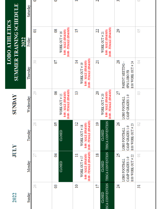|                                                          | Saturday       | 0         | 0                                                                   | $\overline{\phantom{0}}$                                                                    | $\sim$                                                                         | S                                                                   |                    |
|----------------------------------------------------------|----------------|-----------|---------------------------------------------------------------------|---------------------------------------------------------------------------------------------|--------------------------------------------------------------------------------|---------------------------------------------------------------------|--------------------|
| <b>SUMMER TRAINING SCHEDULE</b><br><b>LOBO ATHLETICS</b> | 2022<br>Friday | ដ         | 10:00 - FEMALE (HS&MS)<br>80<br>8:00 - MALE (HS&MS)<br>WORK OUT #16 | $\overline{5}$                                                                              | 10:00 - FEMALE (HS&MS)<br>22<br>8:00 - MALE (HS&MS)<br>WORK OUT # 21           | 29                                                                  | S                  |
|                                                          | Thursday       | $\approx$ | 20                                                                  | 10:00 - FEMALE (HS&MS)<br>$\overline{4}$<br>8:00 - MALE (HS&MS)<br>WORK OUT #19             | 21                                                                             | 28<br>8:00 WORK OUT # 24<br>PARENT MEETING -<br>GPM LOBO FB         | $\overline{5}$     |
| <b>SUNDAY</b>                                            | Wednesday      | 29        | 10:00 - FEMALE (HS&MS)<br>ತಿ<br>8:00 - MALE (HS&MS)<br>WORK OUT #15 | $\mathbf{13}$                                                                               | 10:00 - FEMALE (HS&MS)<br>20<br>8:00 - MALE (HS&MS)<br>WORK OUT # 20           | 27<br>CAMP GRADES 1-9<br><b>LOBO FOOTBALL</b>                       | S                  |
|                                                          | Tuesday        | 28        | S<br>CLOSED                                                         | $\overline{2}$<br>8:00 - MALE (HS&MS)<br>WORK OUT #18                                       | $\overline{0}$<br>CLOSED                                                       | 26<br>8:00 WORK OUT # 23<br>CAMP GRADES 1-9<br><b>LOBO FOOTBALL</b> | S                  |
| <b>XTINT</b>                                             | Monday         | 27        | ड<br>CLOSED                                                         | 10:00 - FEMALE (HS&MS)   10:00 - FEMALE (HS&MS)<br>Ξ<br>8:00 - MALE (HS&MS)<br>WORK OUT #17 | ISCA CONVENTION THSCA CONVENTION THSCA CONVENTION<br>$\overline{18}$<br>CLOSED | 25<br>8:00 WORK OUT # 22<br>CAMP GRADES 1-9<br>LOBO FOOTBALL        | $\overline{\circ}$ |
| 2022                                                     | Sunday         | 26        | 8                                                                   | $\overline{10}$                                                                             | 17<br><b>CLOSED</b>                                                            | $\overline{\mathcal{U}}$                                            | $\overline{31}$    |